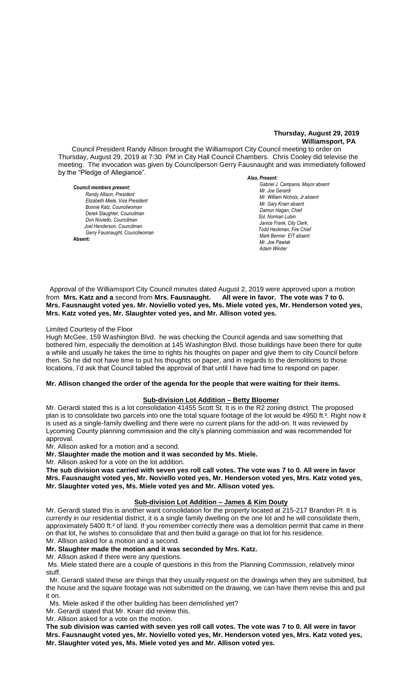# **Thursday, August 29, 2019 Williamsport, PA**

Council President Randy Allison brought the Williamsport City Council meeting to order on Thursday, August 29, 2019 at 7:30 PM in City Hall Council Chambers. Chris Cooley did televise the meeting. The invocation was given by Councilperson Gerry Fausnaught and was immediately followed by the "Pledge of Allegiance".

*Council members present: Randy Allison, President , President Elizabeth Miele, Vice President Bonnie Katz, Councilwoman Derek Slaughter, Councilman Don Noviello, Councilman Joel Henderson, Councilman Gerry Fausnaught, Councilwoman*  **Absent:** 

*Also, Present: Gabriel J. Campana, Mayor absent Mr. William Nichols, Jr. Mr. Joe Gerardi Mr. William Nichols, Jr.absent Mr. Joe Pawlak Mr. Gary Knarr absent Damon Hagan, Chief Sol. Norman Lubin Janice Frank, City Clerk,*  $T$ odd Heckman, Fire Chief *Mark Benner EIT absent Mr. Joe Pawlak Adam Winder* **Joel Henderson**

 Approval of the Williamsport City Council minutes dated August 2, 2019 were approved upon a motion from **Mrs. Katz and a** second from Mrs. Fausnaught. **Mrs. Fausnaught voted yes. Mr. Noviello voted yes, Ms. Miele voted yes, Mr. Henderson voted yes, Mrs. Katz voted yes, Mr. Slaughter voted yes, and Mr. Allison voted yes.**   *Mr. Gary Knarr*  All were in favor. The vote was 7 to 0. *Mr. Tom Cillo C. Dean Heinbach, Fire Chief*

#### Limited Courtesy of the Floor

Hugh McGee, 159 Washington Blvd. he was checking the Council agenda and saw something that  *Sol. J. David Smith* bothered him, especially the demolition at 145 Washington Blvd. those buildings have been there for quite *Todd Heckman, Fire Chief ,*  a while and usually he takes the time to rights his thoughts on paper and give them to city Council before then. So he did not have time to put his thoughts on paper, and in regards to the demolitions to those locations, I'd ask that Council tabled the approval of that until I have had time to respond on paper. *Janice Frank, City Clerk, absent*

#### **Mr. Allison changed the order of the agenda for the people that were waiting for their items.**

# **Sub-division Lot Addition – Betty Bloomer**

Mr. Gerardi stated this is a lot consolidation 41455 Scott St. It is in the R2 zoning district. The proposed plan is to consolidate two parcels into one the total square footage of the lot would be 4950 ft.<sup>2</sup>. Right now it is used as a single-family dwelling and there were no current plans for the add-on. It was reviewed by Lycoming County planning commission and the city's planning commission and was recommended for approval.

Mr. Allison asked for a motion and a second.

**Mr. Slaughter made the motion and it was seconded by Ms. Miele.**

Mr. Allison asked for a vote on the lot addition.

**The sub division was carried with seven yes roll call votes. The vote was 7 to 0. All were in favor Mrs. Fausnaught voted yes, Mr. Noviello voted yes, Mr. Henderson voted yes, Mrs. Katz voted yes, Mr. Slaughter voted yes, Ms. Miele voted yes and Mr. Allison voted yes.**

#### **Sub-division Lot Addition – James & Kim Douty**

Mr. Gerardi stated this is another want consolidation for the property located at 215-217 Brandon Pl. It is currently in our residential district, it is a single family dwelling on the one lot and he will consolidate them, approximately 5400 ft.² of land. If you remember correctly there was a demolition permit that came in there on that lot, he wishes to consolidate that and then build a garage on that lot for his residence. Mr. Allison asked for a motion and a second.

#### **Mr. Slaughter made the motion and it was seconded by Mrs. Katz.**

Mr. Allison asked if there were any questions.

Ms. Miele stated there are a couple of questions in this from the Planning Commission, relatively minor stuff.

 Mr. Gerardi stated these are things that they usually request on the drawings when they are submitted, but the house and the square footage was not submitted on the drawing, we can have them revise this and put it on.

Ms. Miele asked if the other building has been demolished yet?

Mr. Gerardi stated that Mr. Knarr did review this.

Mr. Allison asked for a vote on the motion.

**The sub division was carried with seven yes roll call votes. The vote was 7 to 0. All were in favor Mrs. Fausnaught voted yes, Mr. Noviello voted yes, Mr. Henderson voted yes, Mrs. Katz voted yes, Mr. Slaughter voted yes, Ms. Miele voted yes and Mr. Allison voted yes.**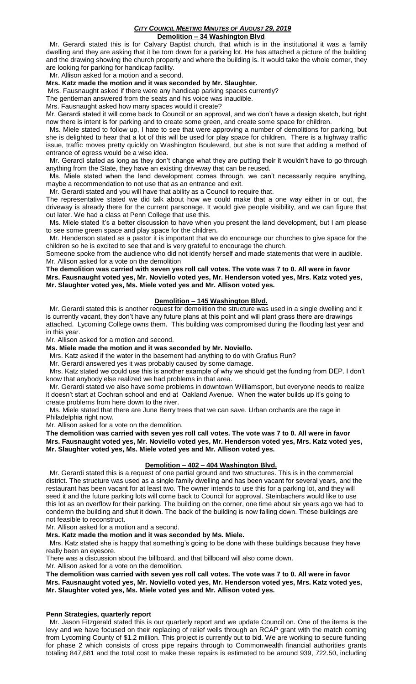## *CITY COUNCIL MEETING MINUTES OF AUGUST 29, 2019* **Demolition – 34 Washington Blvd**

 Mr. Gerardi stated this is for Calvary Baptist church, that which is in the institutional it was a family dwelling and they are asking that it be torn down for a parking lot. He has attached a picture of the building and the drawing showing the church property and where the building is. It would take the whole corner, they are looking for parking for handicap facility.

Mr. Allison asked for a motion and a second.

# **Mrs. Katz made the motion and it was seconded by Mr. Slaughter.**

Mrs. Fausnaught asked if there were any handicap parking spaces currently?

The gentleman answered from the seats and his voice was inaudible.

Mrs. Fausnaught asked how many spaces would it create?

Mr. Gerardi stated it will come back to Council or an approval, and we don't have a design sketch, but right now there is intent is for parking and to create some green, and create some space for children.

 Ms. Miele stated to follow up, I hate to see that were approving a number of demolitions for parking, but she is delighted to hear that a lot of this will be used for play space for children. There is a highway traffic issue, traffic moves pretty quickly on Washington Boulevard, but she is not sure that adding a method of entrance of egress would be a wise idea.

 Mr. Gerardi stated as long as they don't change what they are putting their it wouldn't have to go through anything from the State, they have an existing driveway that can be reused.

 Ms. Miele stated when the land development comes through, we can't necessarily require anything, maybe a recommendation to not use that as an entrance and exit.

Mr. Gerardi stated and you will have that ability as a Council to require that.

The representative stated we did talk about how we could make that a one way either in or out, the driveway is already there for the current parsonage. It would give people visibility, and we can figure that out later. We had a class at Penn College that use this.

 Ms. Miele stated it's a better discussion to have when you present the land development, but I am please to see some green space and play space for the children.

 Mr. Henderson stated as a pastor it is important that we do encourage our churches to give space for the children so he is excited to see that and is very grateful to encourage the church.

Someone spoke from the audience who did not identify herself and made statements that were in audible. Mr. Allison asked for a vote on the demolition

**The demolition was carried with seven yes roll call votes. The vote was 7 to 0. All were in favor Mrs. Fausnaught voted yes, Mr. Noviello voted yes, Mr. Henderson voted yes, Mrs. Katz voted yes, Mr. Slaughter voted yes, Ms. Miele voted yes and Mr. Allison voted yes.**

# **Demolition – 145 Washington Blvd.**

 Mr. Gerardi stated this is another request for demolition the structure was used in a single dwelling and it is currently vacant, they don't have any future plans at this point and will plant grass there are drawings attached. Lycoming College owns them. This building was compromised during the flooding last year and in this year.

Mr. Allison asked for a motion and second.

#### **Ms. Miele made the motion and it was seconded by Mr. Noviello.**

Mrs. Katz asked if the water in the basement had anything to do with Grafius Run?

Mr. Gerardi answered yes it was probably caused by some damage.

 Mrs. Katz stated we could use this is another example of why we should get the funding from DEP. I don't know that anybody else realized we had problems in that area.

 Mr. Gerardi stated we also have some problems in downtown Williamsport, but everyone needs to realize it doesn't start at Cochran school and end at Oakland Avenue. When the water builds up it's going to create problems from here down to the river.

 Ms. Miele stated that there are June Berry trees that we can save. Urban orchards are the rage in Philadelphia right now.

Mr. Allison asked for a vote on the demolition.

**The demolition was carried with seven yes roll call votes. The vote was 7 to 0. All were in favor Mrs. Fausnaught voted yes, Mr. Noviello voted yes, Mr. Henderson voted yes, Mrs. Katz voted yes, Mr. Slaughter voted yes, Ms. Miele voted yes and Mr. Allison voted yes.**

#### **Demolition – 402 – 404 Washington Blvd.**

 Mr. Gerardi stated this is a request of one partial ground and two structures. This is in the commercial district. The structure was used as a single family dwelling and has been vacant for several years, and the restaurant has been vacant for at least two. The owner intends to use this for a parking lot, and they will seed it and the future parking lots will come back to Council for approval. Steinbachers would like to use this lot as an overflow for their parking. The building on the corner, one time about six years ago we had to condemn the building and shut it down. The back of the building is now falling down. These buildings are not feasible to reconstruct.

Mr. Allison asked for a motion and a second.

**Mrs. Katz made the motion and it was seconded by Ms. Miele.**

 Mrs. Katz stated she is happy that something's going to be done with these buildings because they have really been an eyesore.

There was a discussion about the billboard, and that billboard will also come down.

Mr. Allison asked for a vote on the demolition.

**The demolition was carried with seven yes roll call votes. The vote was 7 to 0. All were in favor Mrs. Fausnaught voted yes, Mr. Noviello voted yes, Mr. Henderson voted yes, Mrs. Katz voted yes, Mr. Slaughter voted yes, Ms. Miele voted yes and Mr. Allison voted yes.**

#### **Penn Strategies, quarterly report**

 Mr. Jason Fitzgerald stated this is our quarterly report and we update Council on. One of the items is the levy and we have focused on their replacing of relief wells through an RCAP grant with the match coming from Lycoming County of \$1.2 million. This project is currently out to bid. We are working to secure funding for phase 2 which consists of cross pipe repairs through to Commonwealth financial authorities grants totaling 847,681 and the total cost to make these repairs is estimated to be around 939, 722.50, including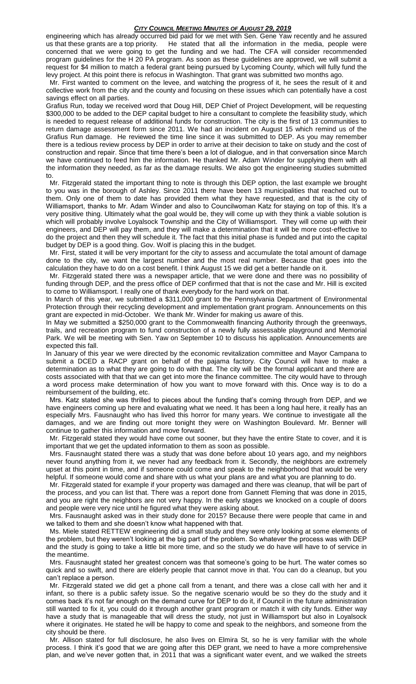engineering which has already occurred bid paid for we met with Sen. Gene Yaw recently and he assured us that these grants are a top priority. He stated that all the information in the media, people were concerned that we were going to get the funding and we had. The CFA will consider recommended program guidelines for the H 20 PA program. As soon as these guidelines are approved, we will submit a request for \$4 million to match a federal grant being pursued by Lycoming County, which will fully fund the levy project. At this point there is refocus in Washington. That grant was submitted two months ago.

 Mr. First wanted to comment on the levee, and watching the progress of it, he sees the result of it and collective work from the city and the county and focusing on these issues which can potentially have a cost savings effect on all parties.

Grafius Run, today we received word that Doug Hill, DEP Chief of Project Development, will be requesting \$300,000 to be added to the DEP capital budget to hire a consultant to complete the feasibility study, which is needed to request release of additional funds for construction. The city is the first of 13 communities to return damage assessment form since 2011. We had an incident on August 15 which remind us of the Grafius Run damage. He reviewed the time line since it was submitted to DEP. As you may remember there is a tedious review process by DEP in order to arrive at their decision to take on study and the cost of construction and repair. Since that time there's been a lot of dialogue, and in that conversation since March we have continued to feed him the information. He thanked Mr. Adam Winder for supplying them with all the information they needed, as far as the damage results. We also got the engineering studies submitted to.

 Mr. Fitzgerald stated the important thing to note is through this DEP option, the last example we brought to you was in the borough of Ashley. Since 2011 there have been 13 municipalities that reached out to them. Only one of them to date has provided them what they have requested, and that is the city of Williamsport, thanks to Mr. Adam Winder and also to Councilwoman Katz for staying on top of this. It's a very positive thing. Ultimately what the goal would be, they will come up with they think a viable solution is which will probably involve Loyalsock Township and the City of Williamsport. They will come up with their engineers, and DEP will pay them, and they will make a determination that it will be more cost-effective to do the project and then they will schedule it. The fact that this initial phase is funded and put into the capital budget by DEP is a good thing. Gov. Wolf is placing this in the budget.

 Mr. First, stated it will be very important for the city to assess and accumulate the total amount of damage done to the city, we want the largest number and the most real number. Because that goes into the calculation they have to do on a cost benefit. I think August 15 we did get a better handle on it.

 Mr. Fitzgerald stated there was a newspaper article, that we were done and there was no possibility of funding through DEP, and the press office of DEP confirmed that that is not the case and Mr. Hill is excited to come to Williamsport. I really one of thank everybody for the hard work on that.

In March of this year, we submitted a \$311,000 grant to the Pennsylvania Department of Environmental Protection through their recycling development and implementation grant program. Announcements on this grant are expected in mid-October. We thank Mr. Winder for making us aware of this.

In May we submitted a \$250,000 grant to the Commonwealth financing Authority through the greenways, trails, and recreation program to fund construction of a newly fully assessable playground and Memorial Park. We will be meeting with Sen. Yaw on September 10 to discuss his application. Announcements are expected this fall.

In January of this year we were directed by the economic revitalization committee and Mayor Campana to submit a DCED a RACP grant on behalf of the pajama factory. City Council will have to make a determination as to what they are going to do with that. The city will be the formal applicant and there are costs associated with that that we can get into more the finance committee. The city would have to through a word process make determination of how you want to move forward with this. Once way is to do a reimbursement of the building, etc.

 Mrs. Katz stated she was thrilled to pieces about the funding that's coming through from DEP, and we have engineers coming up here and evaluating what we need. It has been a long haul here, it really has an especially Mrs. Fausnaught who has lived this horror for many years. We continue to investigate all the damages, and we are finding out more tonight they were on Washington Boulevard. Mr. Benner will continue to gather this information and move forward.

 Mr. Fitzgerald stated they would have come out sooner, but they have the entire State to cover, and it is important that we get the updated information to them as soon as possible.

 Mrs. Fausnaught stated there was a study that was done before about 10 years ago, and my neighbors never found anything from it, we never had any feedback from it. Secondly, the neighbors are extremely upset at this point in time, and if someone could come and speak to the neighborhood that would be very helpful. If someone would come and share with us what your plans are and what you are planning to do.

 Mr. Fitzgerald stated for example if your property was damaged and there was cleanup, that will be part of the process, and you can list that. There was a report done from Gannett Fleming that was done in 2015, and you are right the neighbors are not very happy. In the early stages we knocked on a couple of doors and people were very nice until he figured what they were asking about.

 Mrs. Fausnaught asked was in their study done for 2015? Because there were people that came in and we talked to them and she doesn't know what happened with that.

 Ms. Miele stated RETTEW engineering did a small study and they were only looking at some elements of the problem, but they weren't looking at the big part of the problem. So whatever the process was with DEP and the study is going to take a little bit more time, and so the study we do have will have to of service in the meantime.

 Mrs. Fausnaught stated her greatest concern was that someone's going to be hurt. The water comes so quick and so swift, and there are elderly people that cannot move in that. You can do a cleanup, but you can't replace a person.

 Mr. Fitzgerald stated we did get a phone call from a tenant, and there was a close call with her and it infant, so there is a public safety issue. So the negative scenario would be so they do the study and it comes back it's not far enough on the demand curve for DEP to do it, if Council in the future administration still wanted to fix it, you could do it through another grant program or match it with city funds. Either way have a study that is manageable that will dress the study, not just in Williamsport but also in Loyalsock where it originates. He stated he will be happy to come and speak to the neighbors, and someone from the city should be there.

 Mr. Allison stated for full disclosure, he also lives on Elmira St, so he is very familiar with the whole process. I think it's good that we are going after this DEP grant, we need to have a more comprehensive plan, and we've never gotten that, in 2011 that was a significant water event, and we walked the streets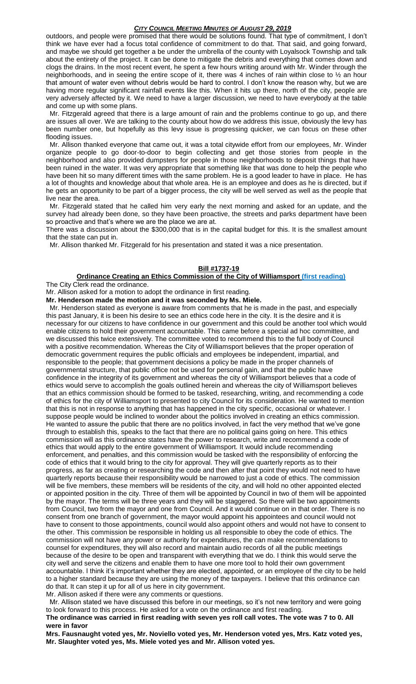outdoors, and people were promised that there would be solutions found. That type of commitment, I don't think we have ever had a focus total confidence of commitment to do that. That said, and going forward, and maybe we should get together a be under the umbrella of the county with Loyalsock Township and talk about the entirety of the project. It can be done to mitigate the debris and everything that comes down and clogs the drains. In the most recent event, he spent a few hours writing around with Mr. Winder through the neighborhoods, and in seeing the entire scope of it, there was 4 inches of rain within close to ½ an hour that amount of water even without debris would be hard to control. I don't know the reason why, but we are having more regular significant rainfall events like this. When it hits up there, north of the city, people are very adversely affected by it. We need to have a larger discussion, we need to have everybody at the table and come up with some plans.

 Mr. Fitzgerald agreed that there is a large amount of rain and the problems continue to go up, and there are issues all over. We are talking to the county about how do we address this issue, obviously the levy has been number one, but hopefully as this levy issue is progressing quicker, we can focus on these other flooding issues.

 Mr. Allison thanked everyone that came out, it was a total citywide effort from our employees, Mr. Winder organize people to go door-to-door to begin collecting and get those stories from people in the neighborhood and also provided dumpsters for people in those neighborhoods to deposit things that have been ruined in the water. It was very appropriate that something like that was done to help the people who have been hit so many different times with the same problem. He is a good leader to have in place. He has a lot of thoughts and knowledge about that whole area. He is an employee and does as he is directed, but if he gets an opportunity to be part of a bigger process, the city will be well served as well as the people that live near the area.

 Mr. Fitzgerald stated that he called him very early the next morning and asked for an update, and the survey had already been done, so they have been proactive, the streets and parks department have been so proactive and that's where we are the place we are at.

There was a discussion about the \$300,000 that is in the capital budget for this. It is the smallest amount that the state can put in.

Mr. Allison thanked Mr. Fitzgerald for his presentation and stated it was a nice presentation.

## **Bill #1737-19**

#### **Ordinance Creating an Ethics Commission of the City of Williamsport (first reading)**

The City Clerk read the ordinance.

Mr. Allison asked for a motion to adopt the ordinance in first reading.

**Mr. Henderson made the motion and it was seconded by Ms. Miele.**

 Mr. Henderson stated as everyone is aware from comments that he is made in the past, and especially this past January, it is been his desire to see an ethics code here in the city. It is the desire and it is necessary for our citizens to have confidence in our government and this could be another tool which would enable citizens to hold their government accountable. This came before a special ad hoc committee, and we discussed this twice extensively. The committee voted to recommend this to the full body of Council with a positive recommendation. Whereas the City of Williamsport believes that the proper operation of democratic government requires the public officials and employees be independent, impartial, and responsible to the people; that government decisions a policy be made in the proper channels of governmental structure, that public office not be used for personal gain, and that the public have confidence in the integrity of its government and whereas the city of Williamsport believes that a code of ethics would serve to accomplish the goals outlined herein and whereas the city of Williamsport believes that an ethics commission should be formed to be tasked, researching, writing, and recommending a code of ethics for the city of Williamsport to presented to city Council for its consideration. He wanted to mention that this is not in response to anything that has happened in the city specific, occasional or whatever. I suppose people would be inclined to wonder about the politics involved in creating an ethics commission. He wanted to assure the public that there are no politics involved, in fact the very method that we've gone through to establish this, speaks to the fact that there are no political gains going on here. This ethics commission will as this ordinance states have the power to research, write and recommend a code of ethics that would apply to the entire government of Williamsport. It would include recommending enforcement, and penalties, and this commission would be tasked with the responsibility of enforcing the code of ethics that it would bring to the city for approval. They will give quarterly reports as to their progress, as far as creating or researching the code and then after that point they would not need to have quarterly reports because their responsibility would be narrowed to just a code of ethics. The commission will be five members, these members will be residents of the city, and will hold no other appointed elected or appointed position in the city. Three of them will be appointed by Council in two of them will be appointed by the mayor. The terms will be three years and they will be staggered. So there will be two appointments from Council, two from the mayor and one from Council. And it would continue on in that order. There is no consent from one branch of government, the mayor would appoint his appointees and council would not have to consent to those appointments, council would also appoint others and would not have to consent to the other. This commission be responsible in holding us all responsible to obey the code of ethics. The commission will not have any power or authority for expenditures, the can make recommendations to counsel for expenditures, they will also record and maintain audio records of all the public meetings because of the desire to be open and transparent with everything that we do. I think this would serve the city well and serve the citizens and enable them to have one more tool to hold their own government accountable. I think it's important whether they are elected, appointed, or an employee of the city to be held to a higher standard because they are using the money of the taxpayers. I believe that this ordinance can do that. It can step it up for all of us here in city government.

Mr. Allison asked if there were any comments or questions.

 Mr. Allison stated we have discussed this before in our meetings, so it's not new territory and were going to look forward to this process. He asked for a vote on the ordinance and first reading. **The ordinance was carried in first reading with seven yes roll call votes. The vote was 7 to 0. All were in favor**

**Mrs. Fausnaught voted yes, Mr. Noviello voted yes, Mr. Henderson voted yes, Mrs. Katz voted yes, Mr. Slaughter voted yes, Ms. Miele voted yes and Mr. Allison voted yes.**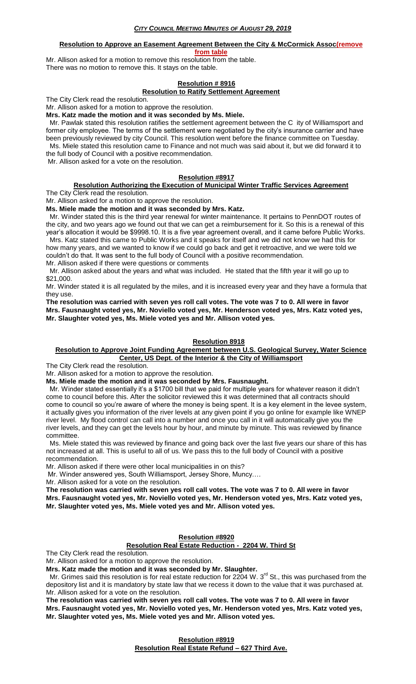# **Resolution to Approve an Easement Agreement Between the City & McCormick Assoc(remove**

**from table**

Mr. Allison asked for a motion to remove this resolution from the table. There was no motion to remove this. It stays on the table.

# **Resolution # 8916**

# **Resolution to Ratify Settlement Agreement**

The City Clerk read the resolution.

Mr. Allison asked for a motion to approve the resolution.

**Mrs. Katz made the motion and it was seconded by Ms. Miele.**

 Mr. Pawlak stated this resolution ratifies the settlement agreement between the C ity of Williamsport and former city employee. The terms of the settlement were negotiated by the city's insurance carrier and have been previously reviewed by city Council. This resolution went before the finance committee on Tuesday. Ms. Miele stated this resolution came to Finance and not much was said about it, but we did forward it to the full body of Council with a positive recommendation.

Mr. Allison asked for a vote on the resolution.

## **Resolution #8917**

#### **Resolution Authorizing the Execution of Municipal Winter Traffic Services Agreement** The City Clerk read the resolution.

Mr. Allison asked for a motion to approve the resolution.

**Ms. Miele made the motion and it was seconded by Mrs. Katz.**

 Mr. Winder stated this is the third year renewal for winter maintenance. It pertains to PennDOT routes of the city, and two years ago we found out that we can get a reimbursement for it. So this is a renewal of this year's allocation it would be \$9998.10. It is a five year agreement overall, and it came before Public Works.

 Mrs. Katz stated this came to Public Works and it speaks for itself and we did not know we had this for how many years, and we wanted to know if we could go back and get it retroactive, and we were told we couldn't do that. It was sent to the full body of Council with a positive recommendation.

Mr. Allison asked if there were questions or comments

 Mr. Allison asked about the years and what was included. He stated that the fifth year it will go up to \$21,000.

Mr. Winder stated it is all regulated by the miles, and it is increased every year and they have a formula that they use.

**The resolution was carried with seven yes roll call votes. The vote was 7 to 0. All were in favor Mrs. Fausnaught voted yes, Mr. Noviello voted yes, Mr. Henderson voted yes, Mrs. Katz voted yes, Mr. Slaughter voted yes, Ms. Miele voted yes and Mr. Allison voted yes.**

#### **Resolution 8918**

#### **Resolution to Approve Joint Funding Agreement between U.S. Geological Survey, Water Science Center, US Dept. of the Interior & the City of Williamsport**

The City Clerk read the resolution.

Mr. Allison asked for a motion to approve the resolution.

**Ms. Miele made the motion and it was seconded by Mrs. Fausnaught.**

 Mr. Winder stated essentially it's a \$1700 bill that we paid for multiple years for whatever reason it didn't come to council before this. After the solicitor reviewed this it was determined that all contracts should come to council so you're aware of where the money is being spent. It is a key element in the levee system, it actually gives you information of the river levels at any given point if you go online for example like WNEP river level. My flood control can call into a number and once you call in it will automatically give you the river levels, and they can get the levels hour by hour, and minute by minute. This was reviewed by finance committee.

 Ms. Miele stated this was reviewed by finance and going back over the last five years our share of this has not increased at all. This is useful to all of us. We pass this to the full body of Council with a positive recommendation.

Mr. Allison asked if there were other local municipalities in on this?

Mr. Winder answered yes, South Williamsport, Jersey Shore, Muncy….

Mr. Allison asked for a vote on the resolution.

**The resolution was carried with seven yes roll call votes. The vote was 7 to 0. All were in favor Mrs. Fausnaught voted yes, Mr. Noviello voted yes, Mr. Henderson voted yes, Mrs. Katz voted yes, Mr. Slaughter voted yes, Ms. Miele voted yes and Mr. Allison voted yes.**

# **Resolution #8920**

# **Resolution Real Estate Reduction - 2204 W. Third St**

The City Clerk read the resolution.

Mr. Allison asked for a motion to approve the resolution.

**Mrs. Katz made the motion and it was seconded by Mr. Slaughter.**

Mr. Grimes said this resolution is for real estate reduction for 2204 W. 3<sup>rd</sup> St., this was purchased from the depository list and it is mandatory by state law that we recess it down to the value that it was purchased at. Mr. Allison asked for a vote on the resolution.

**The resolution was carried with seven yes roll call votes. The vote was 7 to 0. All were in favor Mrs. Fausnaught voted yes, Mr. Noviello voted yes, Mr. Henderson voted yes, Mrs. Katz voted yes, Mr. Slaughter voted yes, Ms. Miele voted yes and Mr. Allison voted yes.**

> **Resolution #8919 Resolution Real Estate Refund – 627 Third Ave.**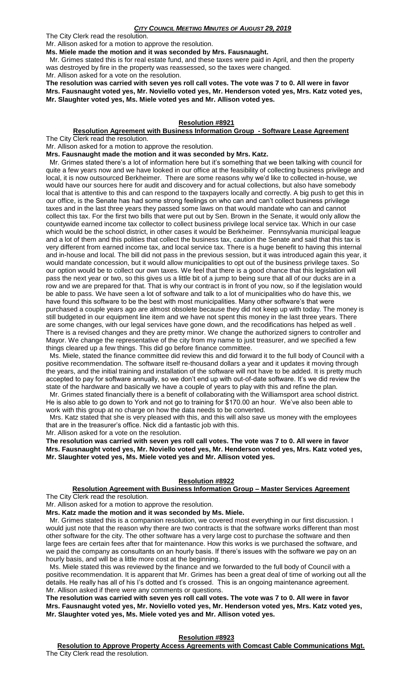The City Clerk read the resolution. Mr. Allison asked for a motion to approve the resolution.

**Ms. Miele made the motion and it was seconded by Mrs. Fausnaught.**

 Mr. Grimes stated this is for real estate fund, and these taxes were paid in April, and then the property was destroyed by fire in the property was reassessed, so the taxes were changed.

Mr. Allison asked for a vote on the resolution.

**The resolution was carried with seven yes roll call votes. The vote was 7 to 0. All were in favor Mrs. Fausnaught voted yes, Mr. Noviello voted yes, Mr. Henderson voted yes, Mrs. Katz voted yes, Mr. Slaughter voted yes, Ms. Miele voted yes and Mr. Allison voted yes.**

#### **Resolution #8921**

#### **Resolution Agreement with Business Information Group - Software Lease Agreement** The City Clerk read the resolution.

Mr. Allison asked for a motion to approve the resolution.

**Mrs. Fausnaught made the motion and it was seconded by Mrs. Katz.**

 Mr. Grimes stated there's a lot of information here but it's something that we been talking with council for quite a few years now and we have looked in our office at the feasibility of collecting business privilege and local, it is now outsourced Berkheimer. There are some reasons why we'd like to collected in-house, we would have our sources here for audit and discovery and for actual collections, but also have somebody local that is attentive to this and can respond to the taxpayers locally and correctly. A big push to get this in our office, is the Senate has had some strong feelings on who can and can't collect business privilege taxes and in the last three years they passed some laws on that would mandate who can and cannot collect this tax. For the first two bills that were put out by Sen. Brown in the Senate, it would only allow the countywide earned income tax collector to collect business privilege local service tax. Which in our case which would be the school district, in other cases it would be Berkheimer. Pennsylvania municipal league and a lot of them and this polities that collect the business tax, caution the Senate and said that this tax is very different from earned income tax, and local service tax. There is a huge benefit to having this internal and in-house and local. The bill did not pass in the previous session, but it was introduced again this year, it would mandate concession, but it would allow municipalities to opt out of the business privilege taxes. So our option would be to collect our own taxes. We feel that there is a good chance that this legislation will pass the next year or two, so this gives us a little bit of a jump to being sure that all of our ducks are in a row and we are prepared for that. That is why our contract is in front of you now, so if the legislation would be able to pass. We have seen a lot of software and talk to a lot of municipalities who do have this, we have found this software to be the best with most municipalities. Many other software's that were purchased a couple years ago are almost obsolete because they did not keep up with today. The money is still budgeted in our equipment line item and we have not spent this money in the last three years. There are some changes, with our legal services have gone down, and the recodifications has helped as well . There is a revised changes and they are pretty minor. We change the authorized signers to controller and Mayor. We change the representative of the city from my name to just treasurer, and we specified a few things cleared up a few things. This did go before finance committee.

 Ms. Miele, stated the finance committee did review this and did forward it to the full body of Council with a positive recommendation. The software itself re-thousand dollars a year and it updates it moving through the years, and the initial training and installation of the software will not have to be added. It is pretty much accepted to pay for software annually, so we don't end up with out-of-date software. It's we did review the state of the hardware and basically we have a couple of years to play with this and refine the plan.

 Mr. Grimes stated financially there is a benefit of collaborating with the Williamsport area school district. He is also able to go down to York and not go to training for \$170.00 an hour. We've also been able to work with this group at no charge on how the data needs to be converted.

 Mrs. Katz stated that she is very pleased with this, and this will also save us money with the employees that are in the treasurer's office. Nick did a fantastic job with this.

Mr. Allison asked for a vote on the resolution.

**The resolution was carried with seven yes roll call votes. The vote was 7 to 0. All were in favor Mrs. Fausnaught voted yes, Mr. Noviello voted yes, Mr. Henderson voted yes, Mrs. Katz voted yes, Mr. Slaughter voted yes, Ms. Miele voted yes and Mr. Allison voted yes.**

#### **Resolution #8922**

# **Resolution Agreement with Business Information Group – Master Services Agreement**

The City Clerk read the resolution.

Mr. Allison asked for a motion to approve the resolution.

**Mrs. Katz made the motion and it was seconded by Ms. Miele.**

 Mr. Grimes stated this is a companion resolution, we covered most everything in our first discussion. I would just note that the reason why there are two contracts is that the software works different than most other software for the city. The other software has a very large cost to purchase the software and then large fees are certain fees after that for maintenance. How this works is we purchased the software, and we paid the company as consultants on an hourly basis. If there's issues with the software we pay on an hourly basis, and will be a little more cost at the beginning.

 Ms. Miele stated this was reviewed by the finance and we forwarded to the full body of Council with a positive recommendation. It is apparent that Mr. Grimes has been a great deal of time of working out all the details. He really has all of his I's dotted and t's crossed. This is an ongoing maintenance agreement. Mr. Allison asked if there were any comments or questions.

**The resolution was carried with seven yes roll call votes. The vote was 7 to 0. All were in favor Mrs. Fausnaught voted yes, Mr. Noviello voted yes, Mr. Henderson voted yes, Mrs. Katz voted yes, Mr. Slaughter voted yes, Ms. Miele voted yes and Mr. Allison voted yes.**

#### **Resolution #8923**

**Resolution to Approve Property Access Agreements with Comcast Cable Communications Mgt.** The City Clerk read the resolution.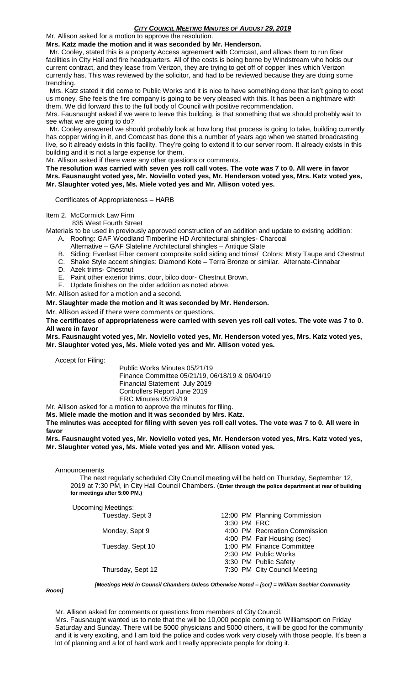# Mr. Allison asked for a motion to approve the resolution.

# **Mrs. Katz made the motion and it was seconded by Mr. Henderson.**

 Mr. Cooley, stated this is a property Access agreement with Comcast, and allows them to run fiber facilities in City Hall and fire headquarters. All of the costs is being borne by Windstream who holds our current contract, and they lease from Verizon, they are trying to get off of copper lines which Verizon currently has. This was reviewed by the solicitor, and had to be reviewed because they are doing some trenching.

 Mrs. Katz stated it did come to Public Works and it is nice to have something done that isn't going to cost us money. She feels the fire company is going to be very pleased with this. It has been a nightmare with them. We did forward this to the full body of Council with positive recommendation.

Mrs. Fausnaught asked if we were to leave this building, is that something that we should probably wait to see what we are going to do?

 Mr. Cooley answered we should probably look at how long that process is going to take, building currently has copper wiring in it, and Comcast has done this a number of years ago when we started broadcasting live, so it already exists in this facility. They're going to extend it to our server room. It already exists in this building and it is not a large expense for them.

Mr. Allison asked if there were any other questions or comments.

**The resolution was carried with seven yes roll call votes. The vote was 7 to 0. All were in favor Mrs. Fausnaught voted yes, Mr. Noviello voted yes, Mr. Henderson voted yes, Mrs. Katz voted yes, Mr. Slaughter voted yes, Ms. Miele voted yes and Mr. Allison voted yes.**

Certificates of Appropriateness – HARB

# Item 2. McCormick Law Firm

835 West Fourth Street

Materials to be used in previously approved construction of an addition and update to existing addition:

- A. Roofing: GAF Woodland Timberline HD Architectural shingles- Charcoal
- Alternative GAF Slateline Architectural shingles Antique Slate
- B. Siding: Everlast Fiber cement composite solid siding and trims/ Colors: Misty Taupe and Chestnut
- C. Shake Style accent shingles: Diamond Kote Terra Bronze or similar. Alternate-Cinnabar
- D. Azek trims- Chestnut
- E. Paint other exterior trims, door, bilco door- Chestnut Brown.
- F. Update finishes on the older addition as noted above.

Mr. Allison asked for a motion and a second.

**Mr. Slaughter made the motion and it was seconded by Mr. Henderson.**

Mr. Allison asked if there were comments or questions.

**The certificates of appropriateness were carried with seven yes roll call votes. The vote was 7 to 0. All were in favor**

**Mrs. Fausnaught voted yes, Mr. Noviello voted yes, Mr. Henderson voted yes, Mrs. Katz voted yes, Mr. Slaughter voted yes, Ms. Miele voted yes and Mr. Allison voted yes.**

Accept for Filing:

Public Works Minutes 05/21/19 Finance Committee 05/21/19, 06/18/19 & 06/04/19 Financial Statement July 2019 Controllers Report June 2019 ERC Minutes 05/28/19

Mr. Allison asked for a motion to approve the minutes for filing.

**Ms. Miele made the motion and it was seconded by Mrs. Katz.**

**The minutes was accepted for filing with seven yes roll call votes. The vote was 7 to 0. All were in favor**

**Mrs. Fausnaught voted yes, Mr. Noviello voted yes, Mr. Henderson voted yes, Mrs. Katz voted yes, Mr. Slaughter voted yes, Ms. Miele voted yes and Mr. Allison voted yes.**

Announcements

 The next regularly scheduled City Council meeting will be held on Thursday, September 12, 2019 at 7:30 PM, in City Hall Council Chambers. (**Enter through the police department at rear of building for meetings after 5:00 PM.)**

Upcoming Meetings:<br>Tuesday, Sept 3 12:00 PM Planning Commission 3:30 PM ERC Monday, Sept 9 4:00 PM Recreation Commission 4:00 PM Fair Housing (sec) Tuesday, Sept 10 1:00 PM Finance Committee 2:30 PM Public Works 3:30 PM Public Safety Thursday, Sept 12 7:30 PM City Council Meeting

*Room]*

*[Meetings Held in Council Chambers Unless Otherwise Noted – [scr] = William Sechler Community* 

Mr. Allison asked for comments or questions from members of City Council. Mrs. Fausnaught wanted us to note that the will be 10,000 people coming to Williamsport on Friday Saturday and Sunday. There will be 5000 physicians and 5000 others, it will be good for the community and it is very exciting, and I am told the police and codes work very closely with those people. It's been a lot of planning and a lot of hard work and I really appreciate people for doing it.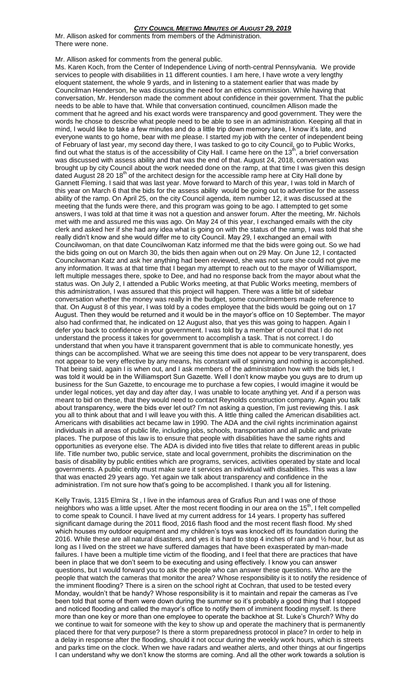Mr. Allison asked for comments from members of the Administration. There were none.

Mr. Allison asked for comments from the general public.

Ms. Karen Koch, from the Center of Independence Living of north-central Pennsylvania. We provide services to people with disabilities in 11 different counties. I am here, I have wrote a very lengthy eloquent statement, the whole 9 yards, and in listening to a statement earlier that was made by Councilman Henderson, he was discussing the need for an ethics commission. While having that conversation, Mr. Henderson made the comment about confidence in their government. That the public needs to be able to have that. While that conversation continued, councilmen Allison made the comment that he agreed and his exact words were transparency and good government. They were the words he chose to describe what people need to be able to see in an administration. Keeping all that in mind, I would like to take a few minutes and do a little trip down memory lane, I know it's late, and everyone wants to go home, bear with me please. I started my job with the center of independent being of February of last year, my second day there, I was tasked to go to city Council, go to Public Works, find out what the status is of the accessibility of City Hall. I came here on the 13<sup>th</sup>, a brief conversation was discussed with assess ability and that was the end of that. August 24, 2018, conversation was brought up by city Council about the work needed done on the ramp, at that time I was given this design dated August 28 20 18<sup>th</sup> of the architect design for the accessible ramp here at City Hall done by Gannett Fleming. I said that was last year. Move forward to March of this year, I was told in March of this year on March 6 that the bids for the assess ability would be going out to advertise for the assess ability of the ramp. On April 25, on the city Council agenda, item number 12, it was discussed at the meeting that the funds were there, and this program was going to be ago. I attempted to get some answers, I was told at that time it was not a question and answer forum. After the meeting, Mr. Nichols met with me and assured me this was ago. On May 24 of this year, I exchanged emails with the city clerk and asked her if she had any idea what is going on with the status of the ramp, I was told that she really didn't know and she would differ me to city Council. May 29, I exchanged an email with Councilwoman, on that date Councilwoman Katz informed me that the bids were going out. So we had the bids going on out on March 30, the bids then again when out on 29 May. On June 12, I contacted Councilwoman Katz and ask her anything had been reviewed, she was not sure she could not give me any information. It was at that time that I began my attempt to reach out to the mayor of Williamsport, left multiple messages there, spoke to Dee, and had no response back from the mayor about what the status was. On July 2, I attended a Public Works meeting, at that Public Works meeting, members of this administration, I was assured that this project will happen. There was a little bit of sidebar conversation whether the money was really in the budget, some councilmembers made reference to that. On August 8 of this year, I was told by a codes employee that the bids would be going out on 17 August. Then they would be returned and it would be in the mayor's office on 10 September. The mayor also had confirmed that, he indicated on 12 August also, that yes this was going to happen. Again I defer you back to confidence in your government. I was told by a member of council that I do not understand the process it takes for government to accomplish a task. That is not correct. I do understand that when you have it transparent government that is able to communicate honestly, yes things can be accomplished. What we are seeing this time does not appear to be very transparent, does not appear to be very effective by any means, his constant will of spinning and nothing is accomplished. That being said, again I is when out, and I ask members of the administration how with the bids let, I was told it would be in the Williamsport Sun Gazette. Well I don't know maybe you guys are to drum up business for the Sun Gazette, to encourage me to purchase a few copies, I would imagine it would be under legal notices, yet day and day after day, I was unable to locate anything yet. And if a person was meant to bid on these, that they would need to contact Reynolds construction company. Again you talk about transparency, were the bids ever let out? I'm not asking a question, I'm just reviewing this. I ask you all to think about that and I will leave you with this. A little thing called the American disabilities act. Americans with disabilities act became law in 1990. The ADA and the civil rights incrimination against individuals in all areas of public life, including jobs, schools, transportation and all public and private places. The purpose of this law is to ensure that people with disabilities have the same rights and opportunities as everyone else. The ADA is divided into five titles that relate to different areas in public life. Title number two, public service, state and local government, prohibits the discrimination on the basis of disability by public entities which are programs, services, activities operated by state and local governments. A public entity must make sure it services an individual with disabilities. This was a law that was enacted 29 years ago. Yet again we talk about transparency and confidence in the administration. I'm not sure how that's going to be accomplished. I thank you all for listening.

Kelly Travis, 1315 Elmira St , I live in the infamous area of Grafius Run and I was one of those neighbors who was a little upset. After the most recent flooding in our area on the 15<sup>th</sup>, I felt compelled to come speak to Council. I have lived at my current address for 14 years. I property has suffered significant damage during the 2011 flood, 2016 flash flood and the most recent flash flood. My shed which houses my outdoor equipment and my children's toys was knocked off its foundation during the 2016. While these are all natural disasters, and yes it is hard to stop 4 inches of rain and ½ hour, but as long as I lived on the street we have suffered damages that have been exasperated by man-made failures. I have been a multiple time victim of the flooding, and I feel that there are practices that have been in place that we don't seem to be executing and using effectively. I know you can answer questions, but I would forward you to ask the people who can answer these questions. Who are the people that watch the cameras that monitor the area? Whose responsibility is it to notify the residence of the imminent flooding? There is a siren on the school right at Cochran, that used to be tested every Monday, wouldn't that be handy? Whose responsibility is it to maintain and repair the cameras as I've been told that some of them were down during the summer so it's probably a good thing that I stopped and noticed flooding and called the mayor's office to notify them of imminent flooding myself. Is there more than one key or more than one employee to operate the backhoe at St. Luke's Church? Why do we continue to wait for someone with the key to show up and operate the machinery that is permanently placed there for that very purpose? Is there a storm preparedness protocol in place? In order to help in a delay in response after the flooding, should it not occur during the weekly work hours, which is streets and parks time on the clock. When we have radars and weather alerts, and other things at our fingertips I can understand why we don't know the storms are coming. And all the other work towards a solution is